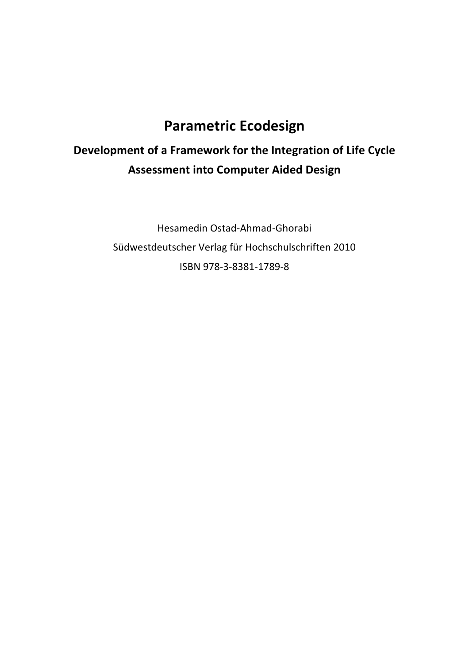## **Parametric Ecodesign**

## Development of a Framework for the Integration of Life Cycle **Assessment into Computer Aided Design**

Hesamedin Ostad-Ahmad-Ghorabi Südwestdeutscher Verlag für Hochschulschriften 2010 ISBN 978-3-8381-1789-8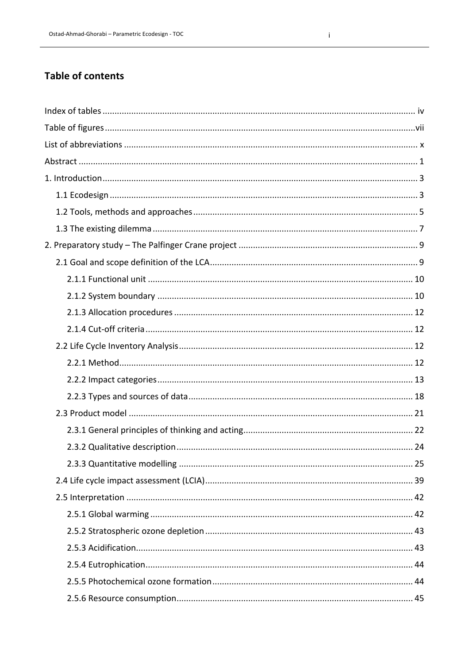## **Table of contents**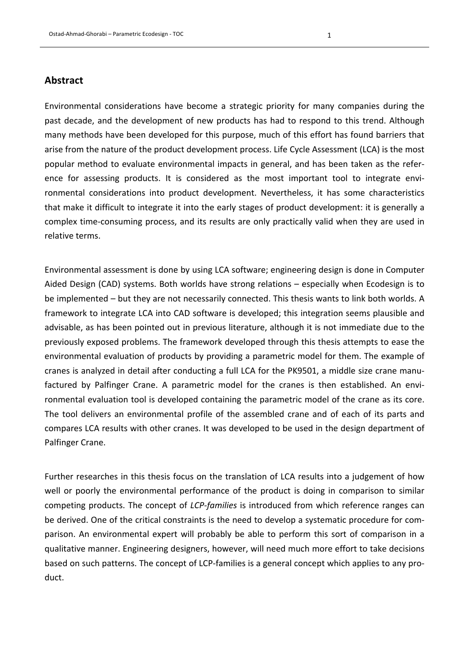## **Abstract**

Environmental considerations have become a strategic priority for many companies during the past decade, and the development of new products has had to respond to this trend. Although many methods have been developed for this purpose, much of this effort has found barriers that arise from the nature of the product development process. Life Cycle Assessment (LCA) is the most popular method to evaluate environmental impacts in general, and has been taken as the reference for assessing products. It is considered as the most important tool to integrate environmental considerations into product development. Nevertheless, it has some characteristics that make it difficult to integrate it into the early stages of product development: it is generally a complex time-consuming process, and its results are only practically valid when they are used in relative terms.

Environmental assessment is done by using LCA software; engineering design is done in Computer Aided Design (CAD) systems. Both worlds have strong relations - especially when Ecodesign is to be implemented – but they are not necessarily connected. This thesis wants to link both worlds. A framework to integrate LCA into CAD software is developed; this integration seems plausible and advisable, as has been pointed out in previous literature, although it is not immediate due to the previously exposed problems. The framework developed through this thesis attempts to ease the environmental evaluation of products by providing a parametric model for them. The example of cranes is analyzed in detail after conducting a full LCA for the PK9501, a middle size crane manufactured by Palfinger Crane. A parametric model for the cranes is then established. An environmental evaluation tool is developed containing the parametric model of the crane as its core. The tool delivers an environmental profile of the assembled crane and of each of its parts and compares LCA results with other cranes. It was developed to be used in the design department of Palfinger Crane.

Further researches in this thesis focus on the translation of LCA results into a judgement of how well or poorly the environmental performance of the product is doing in comparison to similar competing products. The concept of *LCP-families* is introduced from which reference ranges can be derived. One of the critical constraints is the need to develop a systematic procedure for comparison. An environmental expert will probably be able to perform this sort of comparison in a qualitative manner. Engineering designers, however, will need much more effort to take decisions based on such patterns. The concept of LCP-families is a general concept which applies to any product.